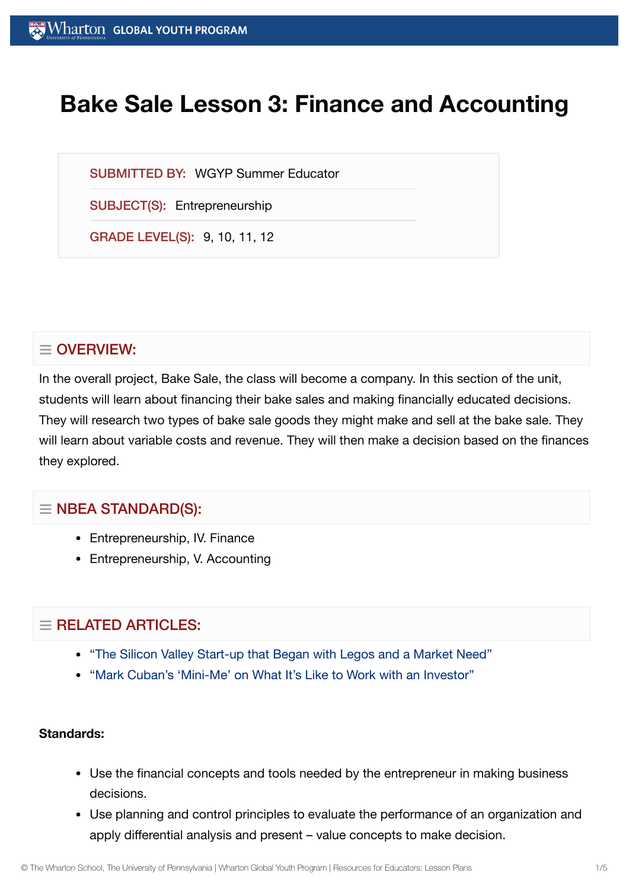# **Bake Sale Lesson 3: Finance and Accounting**

SUBMITTED BY: WGYP Summer Educator

SUBJECT(S): Entrepreneurship

GRADE LEVEL(S): 9, 10, 11, 12

# $\equiv$  OVERVIEW:

In the overall project, Bake Sale, the class will become a company. In this section of the unit, students will learn about financing their bake sales and making financially educated decisions. They will research two types of bake sale goods they might make and sell at the bake sale. They will learn about variable costs and revenue. They will then make a decision based on the finances they explored.

## $\equiv$  NBEA STANDARD(S):

- Entrepreneurship, IV. Finance
- Entrepreneurship, V. Accounting

# $=$  RELATED ARTICLES:

- "The Silicon [Valley Start-up](https://globalyouth.wharton.upenn.edu/articles/start-up-began-with-legos/) that Began with Legos and a Market Need"
- "Mark [Cuban's 'Mini-Me'](https://globalyouth.wharton.upenn.edu/articles/mark-cuban-mini-me-on-work-with-an-investor/) on What It's Like to Work with an Investor"

#### **Standards:**

- Use the financial concepts and tools needed by the entrepreneur in making business decisions.
- Use planning and control principles to evaluate the performance of an organization and apply differential analysis and present – value concepts to make decision.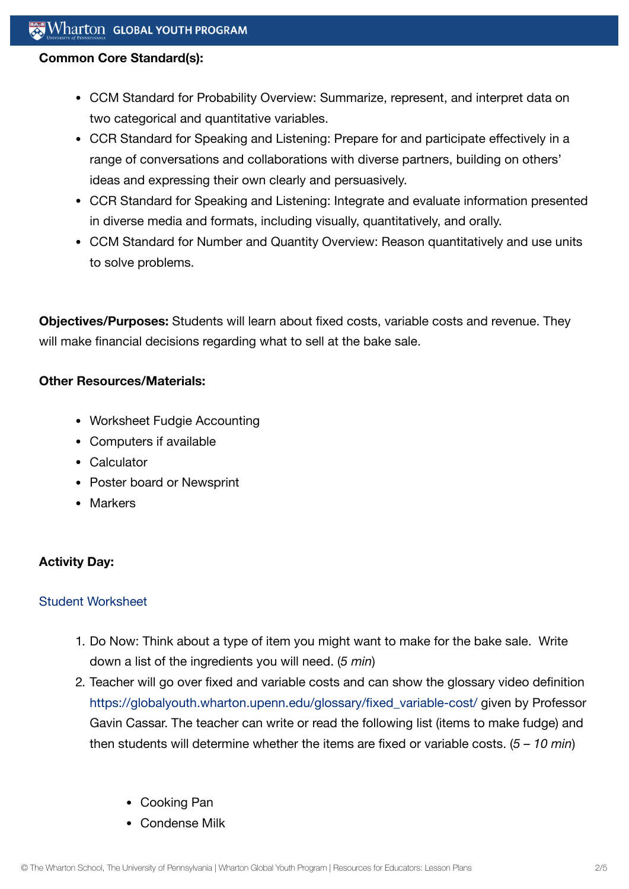#### **Common Core Standard(s):**

- CCM Standard for Probability Overview: Summarize, represent, and interpret data on two categorical and quantitative variables.
- CCR Standard for Speaking and Listening: Prepare for and participate effectively in a range of conversations and collaborations with diverse partners, building on others' ideas and expressing their own clearly and persuasively.
- CCR Standard for Speaking and Listening: Integrate and evaluate information presented in diverse media and formats, including visually, quantitatively, and orally.
- CCM Standard for Number and Quantity Overview: Reason quantitatively and use units to solve problems.

**Objectives/Purposes:** Students will learn about fixed costs, variable costs and revenue. They will make financial decisions regarding what to sell at the bake sale.

#### **Other Resources/Materials:**

- Worksheet Fudgie Accounting
- Computers if available
- Calculator
- Poster board or Newsprint
- Markers

## **Activity Day:**

#### Student [Worksheet](https://globalyouth.wharton.upenn.edu/wp-content/uploads/2012/02/Entreprenuership17_Finance_Worksheet.doc)

- 1. Do Now: Think about a type of item you might want to make for the bake sale. Write down a list of the ingredients you will need. (*5 min*)
- 2. Teacher will go over fixed and variable costs and can show the glossary video definition [https://globalyouth.wharton.upenn.edu/glossary/fixed\\_variable-cost/](https://globalyouth.wharton.upenn.edu/glossary/fixed_variable-cost/) given by Professor Gavin Cassar. The teacher can write or read the following list (items to make fudge) and then students will determine whether the items are fixed or variable costs. (*5 – 10 min*)
	- Cooking Pan
	- Condense Milk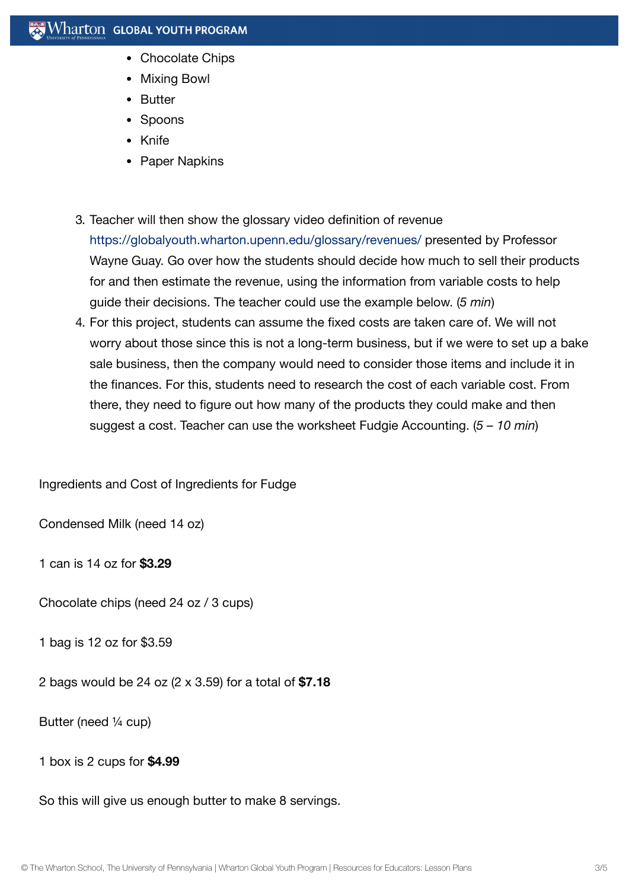- Chocolate Chips
- Mixing Bowl
- Butter
- Spoons
- Knife
- Paper Napkins
- 3. Teacher will then show the glossary video definition of revenue <https://globalyouth.wharton.upenn.edu/glossary/revenues/> presented by Professor Wayne Guay. Go over how the students should decide how much to sell their products for and then estimate the revenue, using the information from variable costs to help guide their decisions. The teacher could use the example below. (*5 min*)
- 4. For this project, students can assume the fixed costs are taken care of. We will not worry about those since this is not a long-term business, but if we were to set up a bake sale business, then the company would need to consider those items and include it in the finances. For this, students need to research the cost of each variable cost. From there, they need to figure out how many of the products they could make and then suggest a cost. Teacher can use the worksheet Fudgie Accounting. (*5 – 10 min*)

Ingredients and Cost of Ingredients for Fudge

Condensed Milk (need 14 oz)

1 can is 14 oz for **\$3.29**

Chocolate chips (need 24 oz / 3 cups)

1 bag is 12 oz for \$3.59

2 bags would be 24 oz (2 x 3.59) for a total of **\$7.18**

Butter (need ¼ cup)

1 box is 2 cups for **\$4.99**

So this will give us enough butter to make 8 servings.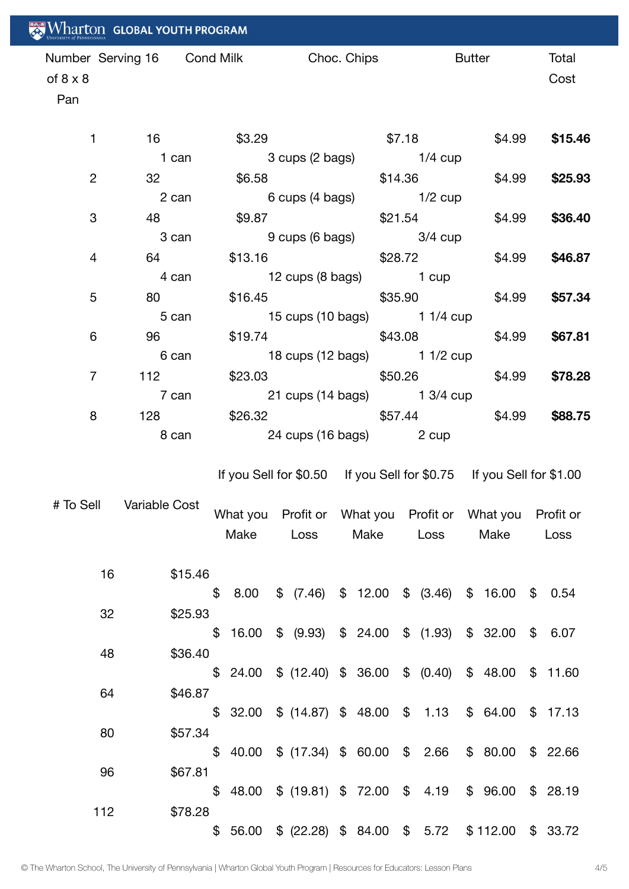| Wharton GLOBAL YOUTH PROGRAM                                         |                                         |                             |                   |                         |                                                          |  |  |  |                                                          |         |           |               |         |                          |
|----------------------------------------------------------------------|-----------------------------------------|-----------------------------|-------------------|-------------------------|----------------------------------------------------------|--|--|--|----------------------------------------------------------|---------|-----------|---------------|---------|--------------------------|
| of $8 \times 8$<br>Pan                                               | Number Serving 16 Cond Milk Choc. Chips |                             |                   |                         |                                                          |  |  |  |                                                          |         |           | <b>Butter</b> |         | Total<br>Cost            |
| $\mathbf{1}$                                                         | $16 \quad \Box$                         |                             |                   |                         | \$3.29                                                   |  |  |  |                                                          |         |           |               |         | $$7.18$ $$4.99$ $$15.46$ |
|                                                                      | 1 can                                   |                             |                   | 3 cups (2 bags) 1/4 cup |                                                          |  |  |  |                                                          |         |           |               |         |                          |
| $\overline{2}$                                                       | $32 - 1$                                |                             |                   | \$6.58 \$14.36 \$4.99   |                                                          |  |  |  |                                                          |         |           |               |         | \$25.93                  |
|                                                                      | 2 can                                   | 6 cups (4 bags) 1/2 cup     |                   |                         |                                                          |  |  |  |                                                          |         |           |               |         |                          |
| 3                                                                    | 48 — 1                                  |                             |                   | $$9.87$ $$21.54$        |                                                          |  |  |  |                                                          |         |           | \$4.99        |         | \$36.40                  |
|                                                                      | 3 can                                   | 9 cups (6 bags) 3/4 cup     |                   |                         |                                                          |  |  |  |                                                          |         |           |               |         |                          |
| $\overline{4}$<br>64 — 10                                            |                                         |                             | $$13.16$ $$28.72$ |                         |                                                          |  |  |  | \$4.99                                                   |         |           |               |         | \$46.87                  |
|                                                                      | 4 can                                   | 12 cups (8 bags) 1 cup      |                   |                         |                                                          |  |  |  |                                                          |         |           |               |         |                          |
| 5                                                                    | 80 — 10                                 |                             |                   |                         | \$16.45<br>\$35.90                                       |  |  |  |                                                          |         | \$4.99    |               |         | \$57.34                  |
|                                                                      | 5 can                                   | 15 cups (10 bags) 1 1/4 cup |                   |                         |                                                          |  |  |  |                                                          |         |           |               |         |                          |
| 6                                                                    | 96 11                                   |                             |                   |                         | \$19.74                                                  |  |  |  |                                                          | \$43.08 |           | \$4.99        |         | \$67.81                  |
|                                                                      | 6 can                                   | 18 cups (12 bags) 1 1/2 cup |                   |                         |                                                          |  |  |  |                                                          |         |           |               |         |                          |
| $\overline{7}$                                                       | 112                                     |                             |                   |                         | $$23.03$ $$50.26$ $$4.99$                                |  |  |  |                                                          |         |           |               |         | \$78.28                  |
|                                                                      | 7 can                                   |                             |                   |                         | 21 cups (14 bags) 1 3/4 cup                              |  |  |  |                                                          |         |           |               |         |                          |
| 8                                                                    | 128 — 128                               | $$26.32$ $$57.44$ $$4.99$   |                   |                         |                                                          |  |  |  |                                                          |         |           |               | \$88.75 |                          |
| 24 cups (16 bags) 2 cup<br>8 can                                     |                                         |                             |                   |                         |                                                          |  |  |  |                                                          |         |           |               |         |                          |
| If you Sell for \$0.50 If you Sell for \$0.75 If you Sell for \$1.00 |                                         |                             |                   |                         |                                                          |  |  |  |                                                          |         |           |               |         |                          |
|                                                                      | # To Sell Variable Cost                 |                             |                   |                         |                                                          |  |  |  |                                                          |         |           |               |         |                          |
|                                                                      |                                         |                             |                   |                         |                                                          |  |  |  |                                                          |         |           |               |         |                          |
|                                                                      |                                         |                             |                   |                         |                                                          |  |  |  | What you Profit or What you Profit or What you Profit or |         |           |               |         |                          |
|                                                                      |                                         |                             |                   |                         | Make Loss Make Loss                                      |  |  |  |                                                          |         | Make Loss |               |         |                          |
|                                                                      |                                         |                             |                   |                         |                                                          |  |  |  |                                                          |         |           |               |         |                          |
| 16                                                                   | \$15.46                                 |                             |                   |                         |                                                          |  |  |  |                                                          |         |           |               |         |                          |
|                                                                      |                                         |                             |                   |                         | $$8.00 \$$ (7.46) $$12.00 \$$ (3.46) $$16.00 \$$ 0.54    |  |  |  |                                                          |         |           |               |         |                          |
| 32                                                                   | \$25.93                                 |                             |                   |                         | $$16.00 \$$ (9.93) $$24.00 \$$ (1.93) $$32.00 \$$ 6.07   |  |  |  |                                                          |         |           |               |         |                          |
|                                                                      |                                         |                             |                   |                         |                                                          |  |  |  |                                                          |         |           |               |         |                          |
| 48                                                                   | \$36.40                                 |                             |                   |                         | $$24.00 \$ (12.40) \$ 36.00 \$ (0.40) \$ 48.00 \$ 11.60$ |  |  |  |                                                          |         |           |               |         |                          |
|                                                                      |                                         |                             |                   |                         |                                                          |  |  |  |                                                          |         |           |               |         |                          |
| 64                                                                   | \$46.87                                 |                             |                   |                         |                                                          |  |  |  |                                                          |         |           |               |         |                          |
|                                                                      |                                         |                             |                   |                         | $$32.00 \$ (14.87) \$ 48.00 \$ 1.13 \$ 64.00 \$ 17.13$   |  |  |  |                                                          |         |           |               |         |                          |
| 80                                                                   | \$57.34                                 |                             |                   |                         |                                                          |  |  |  |                                                          |         |           |               |         |                          |
|                                                                      | \$67.81                                 |                             |                   |                         | \$ 40.00 \$ (17.34) \$ 60.00 \$ 2.66 \$ 80.00 \$ 22.66   |  |  |  |                                                          |         |           |               |         |                          |
| 96                                                                   |                                         |                             |                   |                         | \$ 48.00 \$ (19.81) \$ 72.00 \$ 4.19 \$ 96.00 \$ 28.19   |  |  |  |                                                          |         |           |               |         |                          |
| 112                                                                  | \$78.28                                 |                             |                   |                         |                                                          |  |  |  |                                                          |         |           |               |         |                          |
|                                                                      |                                         |                             |                   |                         | \$ 56.00 \$ (22.28) \$ 84.00 \$ 5.72 \$112.00 \$ 33.72   |  |  |  |                                                          |         |           |               |         |                          |
|                                                                      |                                         |                             |                   |                         |                                                          |  |  |  |                                                          |         |           |               |         |                          |